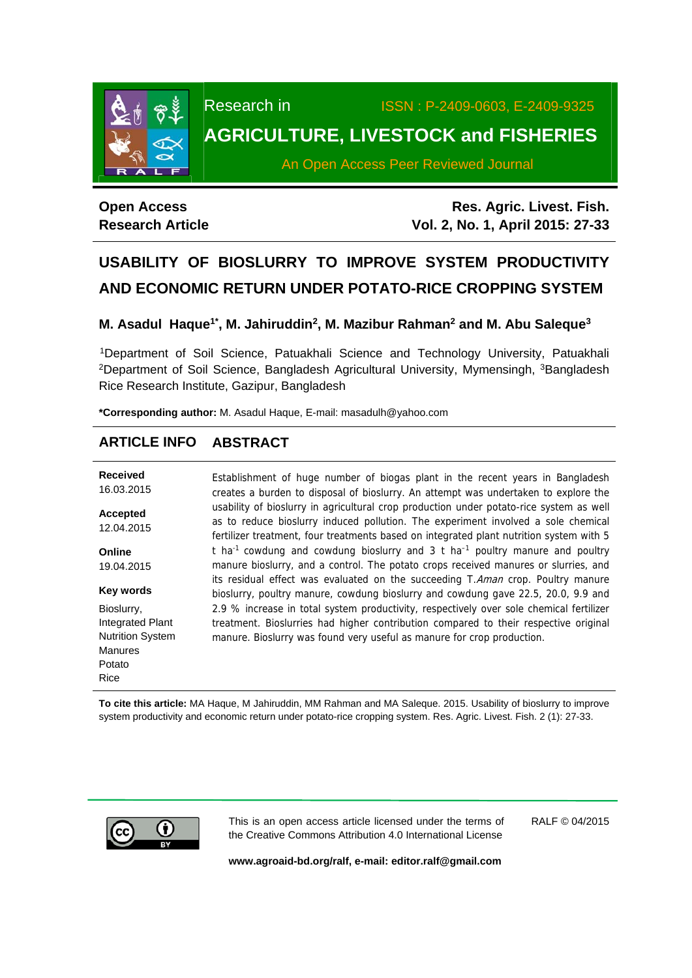

Research in ISSN : P-2409-0603, E-2409-9325

## **AGRICULTURE, LIVESTOCK and FISHERIES**

An Open Access Peer Reviewed Journal

## **Open Access Research Article**

**Res. Agric. Livest. Fish. Vol. 2, No. 1, April 2015: 27-33**

# **USABILITY OF BIOSLURRY TO IMPROVE SYSTEM PRODUCTIVITY AND ECONOMIC RETURN UNDER POTATO-RICE CROPPING SYSTEM**

**M. Asadul Haque1\*, M. Jahiruddin2, M. Mazibur Rahman2 and M. Abu Saleque3** 

 1Department of Soil Science, Patuakhali Science and Technology University, Patuakhali <sup>2</sup>Department of Soil Science, Bangladesh Agricultural University, Mymensingh, <sup>3</sup>Bangladesh Rice Research Institute, Gazipur, Bangladesh

**\*Corresponding author:** M. Asadul Haque, E-mail: masadulh@yahoo.com

## **ARTICLE INFO ABSTRACT**

| <b>Received</b><br>16.03.2015 | Establishment of huge number of biogas plant in the recent years in Bangladesh<br>creates a burden to disposal of bioslurry. An attempt was undertaken to explore the                                                                                                   |
|-------------------------------|-------------------------------------------------------------------------------------------------------------------------------------------------------------------------------------------------------------------------------------------------------------------------|
| Accepted<br>12.04.2015        | usability of bioslurry in agricultural crop production under potato-rice system as well<br>as to reduce bioslurry induced pollution. The experiment involved a sole chemical<br>fertilizer treatment, four treatments based on integrated plant nutrition system with 5 |
| Online                        | t ha <sup>-1</sup> cowdung and cowdung bioslurry and 3 t ha <sup>-1</sup> poultry manure and poultry                                                                                                                                                                    |
| 19.04.2015                    | manure bioslurry, and a control. The potato crops received manures or slurries, and                                                                                                                                                                                     |
| <b>Key words</b>              | its residual effect was evaluated on the succeeding T.Aman crop. Poultry manure<br>bioslurry, poultry manure, cowdung bioslurry and cowdung gave 22.5, 20.0, 9.9 and                                                                                                    |
| Bioslurry,                    | 2.9 % increase in total system productivity, respectively over sole chemical fertilizer                                                                                                                                                                                 |
| <b>Integrated Plant</b>       | treatment. Bioslurries had higher contribution compared to their respective original                                                                                                                                                                                    |
| <b>Nutrition System</b>       | manure. Bioslurry was found very useful as manure for crop production.                                                                                                                                                                                                  |
| <b>Manures</b>                |                                                                                                                                                                                                                                                                         |
| Potato                        |                                                                                                                                                                                                                                                                         |
| Rice                          |                                                                                                                                                                                                                                                                         |

**To cite this article:** MA Haque, M Jahiruddin, MM Rahman and MA Saleque. 2015. Usability of bioslurry to improve system productivity and economic return under potato-rice cropping system. Res. Agric. Livest. Fish. 2 (1): 27-33.



This is an open access article licensed under the terms of the Creative Commons Attribution 4.0 International License

RALF © 04/2015

**www.agroaid-bd.org/ralf, e-mail: editor.ralf@gmail.com**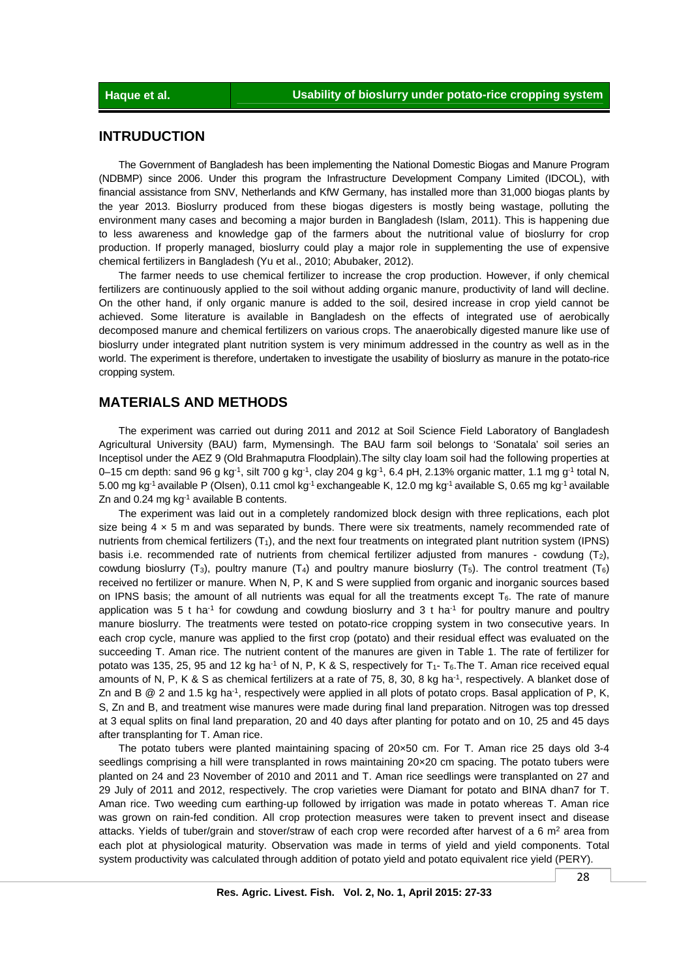## **INTRUDUCTION**

 The Government of Bangladesh has been implementing the National Domestic Biogas and Manure Program (NDBMP) since 2006. Under this program the Infrastructure Development Company Limited (IDCOL), with financial assistance from SNV, Netherlands and KfW Germany, has installed more than 31,000 biogas plants by the year 2013. Bioslurry produced from these biogas digesters is mostly being wastage, polluting the environment many cases and becoming a major burden in Bangladesh (Islam, 2011). This is happening due to less awareness and knowledge gap of the farmers about the nutritional value of bioslurry for crop production. If properly managed, bioslurry could play a major role in supplementing the use of expensive chemical fertilizers in Bangladesh (Yu et al., 2010; Abubaker, 2012).

 The farmer needs to use chemical fertilizer to increase the crop production. However, if only chemical fertilizers are continuously applied to the soil without adding organic manure, productivity of land will decline. On the other hand, if only organic manure is added to the soil, desired increase in crop yield cannot be achieved. Some literature is available in Bangladesh on the effects of integrated use of aerobically decomposed manure and chemical fertilizers on various crops. The anaerobically digested manure like use of bioslurry under integrated plant nutrition system is very minimum addressed in the country as well as in the world. The experiment is therefore, undertaken to investigate the usability of bioslurry as manure in the potato-rice cropping system.

## **MATERIALS AND METHODS**

 The experiment was carried out during 2011 and 2012 at Soil Science Field Laboratory of Bangladesh Agricultural University (BAU) farm, Mymensingh. The BAU farm soil belongs to 'Sonatala' soil series an Inceptisol under the AEZ 9 (Old Brahmaputra Floodplain).The silty clay loam soil had the following properties at 0–15 cm depth: sand 96 g kg<sup>-1</sup>, silt 700 g kg<sup>-1</sup>, clay 204 g kg<sup>-1</sup>, 6.4 pH, 2.13% organic matter, 1.1 mg g<sup>-1</sup> total N, 5.00 mg kg<sup>-1</sup> available P (Olsen), 0.11 cmol kg<sup>-1</sup> exchangeable K, 12.0 mg kg<sup>-1</sup> available S, 0.65 mg kg<sup>-1</sup> available Zn and 0.24 mg  $kg^{-1}$  available B contents.

 The experiment was laid out in a completely randomized block design with three replications, each plot size being  $4 \times 5$  m and was separated by bunds. There were six treatments, namely recommended rate of nutrients from chemical fertilizers  $(T_1)$ , and the next four treatments on integrated plant nutrition system (IPNS) basis i.e. recommended rate of nutrients from chemical fertilizer adjusted from manures - cowdung (T2), cowdung bioslurry (T<sub>3</sub>), poultry manure (T<sub>4</sub>) and poultry manure bioslurry (T<sub>5</sub>). The control treatment (T<sub>6</sub>) received no fertilizer or manure. When N, P, K and S were supplied from organic and inorganic sources based on IPNS basis; the amount of all nutrients was equal for all the treatments except  $T_6$ . The rate of manure application was 5 t ha<sup>-1</sup> for cowdung and cowdung bioslurry and 3 t ha<sup>-1</sup> for poultry manure and poultry manure bioslurry. The treatments were tested on potato-rice cropping system in two consecutive years. In each crop cycle, manure was applied to the first crop (potato) and their residual effect was evaluated on the succeeding T. Aman rice. The nutrient content of the manures are given in Table 1. The rate of fertilizer for potato was 135, 25, 95 and 12 kg ha<sup>-1</sup> of N, P, K & S, respectively for T<sub>1</sub>-T<sub>6</sub>. The T. Aman rice received equal amounts of N, P, K & S as chemical fertilizers at a rate of 75, 8, 30, 8 kg ha<sup>-1</sup>, respectively. A blanket dose of Zn and B  $\textcircled{2}$  and 1.5 kg ha<sup>-1</sup>, respectively were applied in all plots of potato crops. Basal application of P, K, S, Zn and B, and treatment wise manures were made during final land preparation. Nitrogen was top dressed at 3 equal splits on final land preparation, 20 and 40 days after planting for potato and on 10, 25 and 45 days after transplanting for T. Aman rice.

 The potato tubers were planted maintaining spacing of 20×50 cm. For T. Aman rice 25 days old 3-4 seedlings comprising a hill were transplanted in rows maintaining 20x20 cm spacing. The potato tubers were planted on 24 and 23 November of 2010 and 2011 and T. Aman rice seedlings were transplanted on 27 and 29 July of 2011 and 2012, respectively. The crop varieties were Diamant for potato and BINA dhan7 for T. Aman rice. Two weeding cum earthing-up followed by irrigation was made in potato whereas T. Aman rice was grown on rain-fed condition. All crop protection measures were taken to prevent insect and disease attacks. Yields of tuber/grain and stover/straw of each crop were recorded after harvest of a 6 m<sup>2</sup> area from each plot at physiological maturity. Observation was made in terms of yield and yield components. Total system productivity was calculated through addition of potato yield and potato equivalent rice yield (PERY).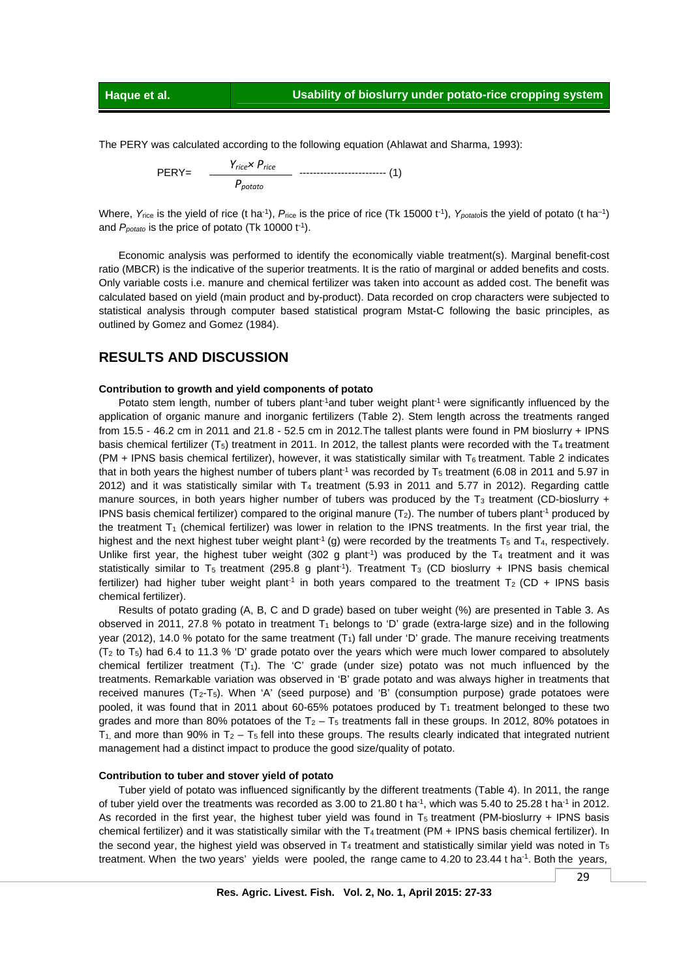The PERY was calculated according to the following equation (Ahlawat and Sharma, 1993):

 PERY= ------------------------- (1) *Yrice× Price Ppotato*

Where, Y<sub>rice</sub> is the yield of rice (t ha<sup>-1</sup>), P<sub>rice</sub> is the price of rice (Tk 15000 t<sup>-1</sup>), Y<sub>potato</sub>is the yield of potato (t ha<sup>-1</sup>) and  $P_{\text{potato}}$  is the price of potato (Tk 10000 t<sup>-1</sup>).

 Economic analysis was performed to identify the economically viable treatment(s). Marginal benefit-cost ratio (MBCR) is the indicative of the superior treatments. It is the ratio of marginal or added benefits and costs. Only variable costs i.e. manure and chemical fertilizer was taken into account as added cost. The benefit was calculated based on yield (main product and by-product). Data recorded on crop characters were subjected to statistical analysis through computer based statistical program Mstat-C following the basic principles, as outlined by Gomez and Gomez (1984).

### **RESULTS AND DISCUSSION**

#### **Contribution to growth and yield components of potato**

Potato stem length, number of tubers plant<sup>-1</sup>and tuber weight plant<sup>-1</sup> were significantly influenced by the application of organic manure and inorganic fertilizers (Table 2). Stem length across the treatments ranged from 15.5 - 46.2 cm in 2011 and 21.8 - 52.5 cm in 2012.The tallest plants were found in PM bioslurry + IPNS basis chemical fertilizer  $(T_5)$  treatment in 2011. In 2012, the tallest plants were recorded with the T<sub>4</sub> treatment (PM + IPNS basis chemical fertilizer), however, it was statistically similar with  $T_6$  treatment. Table 2 indicates that in both years the highest number of tubers plant<sup>-1</sup> was recorded by  $T_5$  treatment (6.08 in 2011 and 5.97 in 2012) and it was statistically similar with  $T_4$  treatment (5.93 in 2011 and 5.77 in 2012). Regarding cattle manure sources, in both years higher number of tubers was produced by the T<sub>3</sub> treatment (CD-bioslurry + IPNS basis chemical fertilizer) compared to the original manure  $(T_2)$ . The number of tubers plant<sup>-1</sup> produced by the treatment  $T_1$  (chemical fertilizer) was lower in relation to the IPNS treatments. In the first year trial, the highest and the next highest tuber weight plant<sup>-1</sup> (g) were recorded by the treatments  $T_5$  and  $T_4$ , respectively. Unlike first year, the highest tuber weight (302 g plant<sup>-1</sup>) was produced by the  $T_4$  treatment and it was statistically similar to T<sub>5</sub> treatment (295.8 g plant<sup>-1</sup>). Treatment T<sub>3</sub> (CD bioslurry + IPNS basis chemical fertilizer) had higher tuber weight plant<sup>-1</sup> in both years compared to the treatment  $T_2$  (CD + IPNS basis chemical fertilizer).

 Results of potato grading (A, B, C and D grade) based on tuber weight (%) are presented in Table 3. As observed in 2011, 27.8 % potato in treatment  $T_1$  belongs to 'D' grade (extra-large size) and in the following year (2012), 14.0 % potato for the same treatment  $(T<sub>1</sub>)$  fall under 'D' grade. The manure receiving treatments  $(T_2$  to  $T_5$ ) had 6.4 to 11.3 % 'D' grade potato over the years which were much lower compared to absolutely chemical fertilizer treatment  $(T_1)$ . The 'C' grade (under size) potato was not much influenced by the treatments. Remarkable variation was observed in 'B' grade potato and was always higher in treatments that received manures  $(T_2-T_5)$ . When 'A' (seed purpose) and 'B' (consumption purpose) grade potatoes were pooled, it was found that in 2011 about 60-65% potatoes produced by  $T_1$  treatment belonged to these two grades and more than 80% potatoes of the  $T_2 - T_5$  treatments fall in these groups. In 2012, 80% potatoes in  $T_1$ , and more than 90% in  $T_2 - T_5$  fell into these groups. The results clearly indicated that integrated nutrient management had a distinct impact to produce the good size/quality of potato.

#### **Contribution to tuber and stover yield of potato**

 Tuber yield of potato was influenced significantly by the different treatments (Table 4). In 2011, the range of tuber yield over the treatments was recorded as 3.00 to 21.80 t ha<sup>-1</sup>, which was 5.40 to 25.28 t ha<sup>-1</sup> in 2012. As recorded in the first year, the highest tuber yield was found in  $T_5$  treatment (PM-bioslurry + IPNS basis chemical fertilizer) and it was statistically similar with the  $T_4$  treatment (PM + IPNS basis chemical fertilizer). In the second year, the highest yield was observed in  $T_4$  treatment and statistically similar yield was noted in  $T_5$ treatment. When the two years' yields were pooled, the range came to  $4.20$  to  $23.44$  t ha<sup>-1</sup>. Both the years,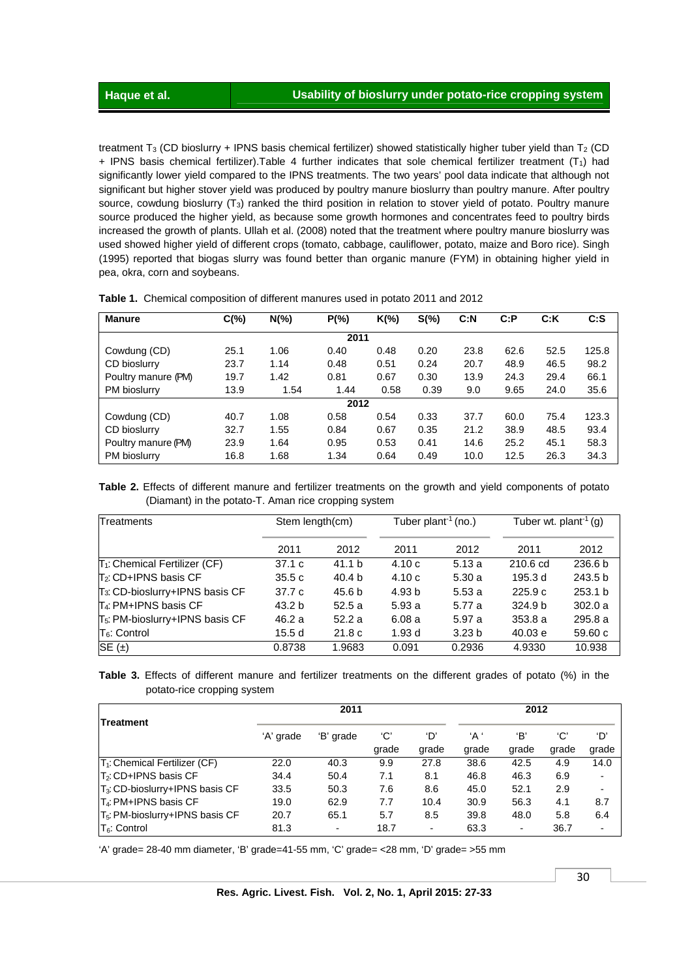treatment T<sub>3</sub> (CD bioslurry + IPNS basis chemical fertilizer) showed statistically higher tuber yield than T<sub>2</sub> (CD + IPNS basis chemical fertilizer). Table 4 further indicates that sole chemical fertilizer treatment  $(T_1)$  had significantly lower yield compared to the IPNS treatments. The two years' pool data indicate that although not significant but higher stover yield was produced by poultry manure bioslurry than poultry manure. After poultry source, cowdung bioslurry (T<sub>3</sub>) ranked the third position in relation to stover yield of potato. Poultry manure source produced the higher yield, as because some growth hormones and concentrates feed to poultry birds increased the growth of plants. Ullah et al. (2008) noted that the treatment where poultry manure bioslurry was used showed higher yield of different crops (tomato, cabbage, cauliflower, potato, maize and Boro rice). Singh (1995) reported that biogas slurry was found better than organic manure (FYM) in obtaining higher yield in pea, okra, corn and soybeans.

| Manure              | $C(\%)$ | $N(\%)$ | $P(\% )$ | $K(\%)$ | $S(\%)$ | C: N | C: P | C:K  | C: S  |  |  |  |  |
|---------------------|---------|---------|----------|---------|---------|------|------|------|-------|--|--|--|--|
| 2011                |         |         |          |         |         |      |      |      |       |  |  |  |  |
| Cowdung (CD)        | 25.1    | 1.06    | 0.40     | 0.48    | 0.20    | 23.8 | 62.6 | 52.5 | 125.8 |  |  |  |  |
| CD bioslurry        | 23.7    | 1.14    | 0.48     | 0.51    | 0.24    | 20.7 | 48.9 | 46.5 | 98.2  |  |  |  |  |
| Poultry manure (PM) | 19.7    | 1.42    | 0.81     | 0.67    | 0.30    | 13.9 | 24.3 | 29.4 | 66.1  |  |  |  |  |
| PM bioslurry        | 13.9    | 1.54    | 1.44     | 0.58    | 0.39    | 9.0  | 9.65 | 24.0 | 35.6  |  |  |  |  |
|                     |         |         | 2012     |         |         |      |      |      |       |  |  |  |  |
| Cowdung (CD)        | 40.7    | 1.08    | 0.58     | 0.54    | 0.33    | 37.7 | 60.0 | 75.4 | 123.3 |  |  |  |  |
| CD bioslurry        | 32.7    | 1.55    | 0.84     | 0.67    | 0.35    | 21.2 | 38.9 | 48.5 | 93.4  |  |  |  |  |
| Poultry manure (PM) | 23.9    | 1.64    | 0.95     | 0.53    | 0.41    | 14.6 | 25.2 | 45.1 | 58.3  |  |  |  |  |
| PM bioslurry        | 16.8    | 1.68    | 1.34     | 0.64    | 0.49    | 10.0 | 12.5 | 26.3 | 34.3  |  |  |  |  |

 **Table 1.** Chemical composition of different manures used in potato 2011 and 2012

**Table 2.** Effects of different manure and fertilizer treatments on the growth and yield components of potato (Diamant) in the potato-T. Aman rice cropping system

| Treatments                                  | Stem length(cm) |                   | Tuber plant <sup>-1</sup> (no.) |                   | Tuber wt. plant <sup>-1</sup> (g) |                    |  |
|---------------------------------------------|-----------------|-------------------|---------------------------------|-------------------|-----------------------------------|--------------------|--|
|                                             | 2011            | 2012              | 2011                            | 2012              | 2011                              | 2012               |  |
| T <sub>1</sub> : Chemical Fertilizer (CF)   | 37.1c           | 41.1 b            | 4.10c                           | 5.13a             | 210.6 cd                          | 236.6 <sub>b</sub> |  |
| $T_2$ : CD+IPNS basis CF                    | 35.5c           | 40.4 <sub>b</sub> | 4.10c                           | 5.30a             | 195.3 d                           | 243.5 <sub>b</sub> |  |
| T <sub>3</sub> : CD-bioslurry+IPNS basis CF | 37.7 c          | 45.6 b            | 4.93 <sub>b</sub>               | 5.53a             | 225.9c                            | 253.1 <sub>b</sub> |  |
| $\mathsf{T}_4$ : PM+IPNS basis CF           | 43.2 b          | 52.5a             | 5.93a                           | 5.77 a            | 324.9 <sub>b</sub>                | 302.0a             |  |
| T <sub>5</sub> : PM-bioslurry+IPNS basis CF | 46.2 a          | 52.2a             | 6.08a                           | 5.97a             | 353.8a                            | 295.8a             |  |
| $T_6$ : Control                             | 15.5 d          | 21.8 <sub>c</sub> | 1.93 d                          | 3.23 <sub>b</sub> | 40.03 e                           | 59.60c             |  |
| SE $(\pm)$                                  | 0.8738          | 1.9683            | 0.091                           | 0.2936            | 4.9330                            | 10.938             |  |

|  |                             |  | <b>Table 3.</b> Effects of different manure and fertilizer treatments on the different grades of potato (%) in the |  |  |  |  |  |
|--|-----------------------------|--|--------------------------------------------------------------------------------------------------------------------|--|--|--|--|--|
|  | potato-rice cropping system |  |                                                                                                                    |  |  |  |  |  |

| Treatment                                   |           | 2011      |              |                |              |              | 2012         |              |  |  |
|---------------------------------------------|-----------|-----------|--------------|----------------|--------------|--------------|--------------|--------------|--|--|
|                                             | 'A' grade | 'B' grade | 'С'<br>grade | ʻD'<br>grade   | 'А'<br>grade | 'В'<br>grade | 'C'<br>grade | ʻD'<br>grade |  |  |
| T <sub>1</sub> : Chemical Fertilizer (CF)   | 22.0      | 40.3      | 9.9          | 27.8           | 38.6         | 42.5         | 4.9          | 14.0         |  |  |
| T2: CD+IPNS basis CF                        | 34.4      | 50.4      | 7.1          | 8.1            | 46.8         | 46.3         | 6.9          |              |  |  |
| T <sub>3</sub> : CD-bioslurry+IPNS basis CF | 33.5      | 50.3      | 7.6          | 8.6            | 45.0         | 52.1         | 2.9          |              |  |  |
| T <sub>4</sub> : PM+IPNS basis CF           | 19.0      | 62.9      | 7.7          | 10.4           | 30.9         | 56.3         | 4.1          | 8.7          |  |  |
| T <sub>5</sub> : PM-bioslurry+IPNS basis CF | 20.7      | 65.1      | 5.7          | 8.5            | 39.8         | 48.0         | 5.8          | 6.4          |  |  |
| $T_6$ : Control                             | 81.3      | Ξ.        | 18.7         | $\blacksquare$ | 63.3         | ٠            | 36.7         |              |  |  |

'A' grade= 28-40 mm diameter, 'B' grade=41-55 mm, 'C' grade= <28 mm, 'D' grade= >55 mm

 **Res. Agric. Livest. Fish. Vol. 2, No. 1, April 2015: 27-33**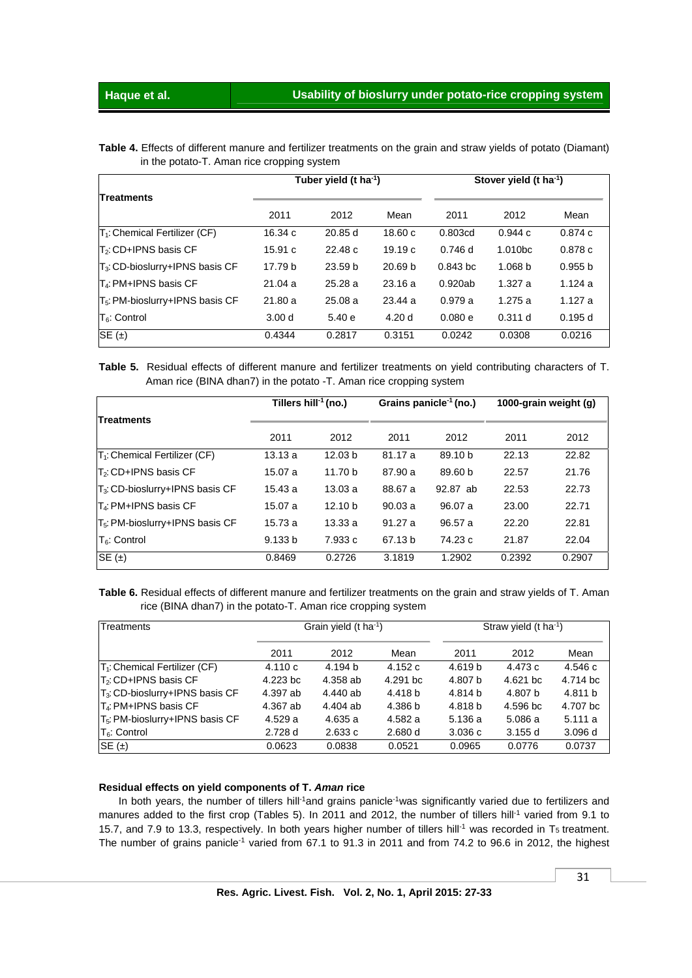**Table 4.** Effects of different manure and fertilizer treatments on the grain and straw yields of potato (Diamant) in the potato-T. Aman rice cropping system

| <b>Treatments</b>                           |                   | Tuber yield (t ha <sup>-1</sup> ) |                    | Stover yield (t ha <sup>-1</sup> ) |                     |         |  |
|---------------------------------------------|-------------------|-----------------------------------|--------------------|------------------------------------|---------------------|---------|--|
|                                             | 2011              | 2012                              | Mean               | 2011                               | 2012                | Mean    |  |
| $T_1$ : Chemical Fertilizer (CF)            | 16.34c            | 20.85 d                           | 18.60c             | 0.803cd                            | 0.944c              | 0.874c  |  |
| $T_2$ : CD+IPNS basis CF                    | 15.91c            | 22.48c                            | 19.19c             | 0.746d                             | 1.010 <sub>bc</sub> | 0.878c  |  |
| $T_3$ : CD-bioslurry+IPNS basis CF          | 17.79 b           | 23.59 <sub>b</sub>                | 20.69 <sub>b</sub> | $0.843$ bc                         | 1.068 <sub>b</sub>  | 0.955 b |  |
| T <sub>4</sub> : PM+IPNS basis CF           | 21.04a            | 25.28a                            | 23.16a             | 0.920ab                            | 1.327a              | 1.124a  |  |
| T <sub>5</sub> : PM-bioslurry+IPNS basis CF | 21.80a            | 25.08a                            | 23.44a             | 0.979a                             | 1.275a              | 1.127a  |  |
| $T6$ : Control                              | 3.00 <sub>d</sub> | 5.40e                             | 4.20d              | 0.080e                             | 0.311 d             | 0.195d  |  |
| $SE(\pm)$                                   | 0.4344            | 0.2817                            | 0.3151             | 0.0242                             | 0.0308              | 0.0216  |  |

**Table 5.** Residual effects of different manure and fertilizer treatments on yield contributing characters of T. Aman rice (BINA dhan7) in the potato -T. Aman rice cropping system

| <b>Treatments</b>                           |         | Tillers hill <sup>-1</sup> (no.) |         | Grains panicle <sup>-1</sup> (no.) | 1000-grain weight (g) |        |  |
|---------------------------------------------|---------|----------------------------------|---------|------------------------------------|-----------------------|--------|--|
|                                             | 2011    | 2012                             | 2011    | 2012                               | 2011                  | 2012   |  |
| T <sub>1</sub> : Chemical Fertilizer (CF)   | 13.13a  | 12.03 <sub>b</sub>               | 81.17 a | 89.10 b                            | 22.13                 | 22.82  |  |
| T <sub>2</sub> : CD+IPNS basis CF           | 15.07 a | 11.70 b                          | 87.90 a | 89.60 b                            | 22.57                 | 21.76  |  |
| T <sub>3</sub> : CD-bioslurry+IPNS basis CF | 15.43a  | 13.03a                           | 88.67 a | 92.87 ab                           | 22.53                 | 22.73  |  |
| $T_4$ : PM+IPNS basis CF                    | 15.07 a | 12.10 <sub>b</sub>               | 90.03a  | 96.07 a                            | 23.00                 | 22.71  |  |
| T <sub>5</sub> : PM-bioslurry+IPNS basis CF | 15.73a  | 13.33 a                          | 91.27a  | 96.57 a                            | 22.20                 | 22.81  |  |
| $T_6$ : Control                             | 9.133 b | 7.933 c                          | 67.13 b | 74.23 c                            | 21.87                 | 22.04  |  |
| $SE(\pm)$                                   | 0.8469  | 0.2726                           | 3.1819  | 1.2902                             | 0.2392                | 0.2907 |  |

**Table 6.** Residual effects of different manure and fertilizer treatments on the grain and straw yields of T. Aman rice (BINA dhan7) in the potato-T. Aman rice cropping system

| Treatments                                  |          | Grain yield $(t \text{ ha}^{-1})$ |          |                    | Straw yield (t ha <sup>-1</sup> ) |          |
|---------------------------------------------|----------|-----------------------------------|----------|--------------------|-----------------------------------|----------|
|                                             | 2011     | 2012                              | Mean     | 2011               | 2012                              | Mean     |
| T <sub>1</sub> : Chemical Fertilizer (CF)   | 4.110c   | 4.194 b                           | 4.152c   | 4.619 <sub>b</sub> | 4.473 c                           | 4.546 с  |
| $T_2$ : CD+IPNS basis CF                    | 4.223 bc | 4.358 ab                          | 4.291 bc | 4.807 b            | 4.621 bc                          | 4.714 bc |
| $T_3$ : CD-bioslurry+IPNS basis CF          | 4.397 ab | 4.440 ab                          | 4.418 b  | 4.814 b            | 4.807 b                           | 4.811 b  |
| IT4: PM+IPNS basis CF                       | 4.367 ab | 4.404 ab                          | 4.386 b  | 4.818 b            | 4.596 bc                          | 4.707 bc |
| T <sub>5</sub> : PM-bioslurry+IPNS basis CF | 4.529a   | 4.635 a                           | 4.582 a  | 5.136 a            | 5.086 a                           | 5.111a   |
| $T_6$ : Control                             | 2.728 d  | 2.633c                            | 2.680 d  | 3.036c             | 3.155d                            | 3.096d   |
| $SE(\pm)$                                   | 0.0623   | 0.0838                            | 0.0521   | 0.0965             | 0.0776                            | 0.0737   |

#### **Residual effects on yield components of T.** *Aman* **rice**

In both years, the number of tillers hill<sup>-1</sup>and grains panicle<sup>-1</sup>was significantly varied due to fertilizers and manures added to the first crop (Tables 5). In 2011 and 2012, the number of tillers hill<sup>-1</sup> varied from 9.1 to 15.7, and 7.9 to 13.3, respectively. In both years higher number of tillers hill<sup>-1</sup> was recorded in T<sub>5</sub> treatment. The number of grains panicle<sup>-1</sup> varied from 67.1 to 91.3 in 2011 and from 74.2 to 96.6 in 2012, the highest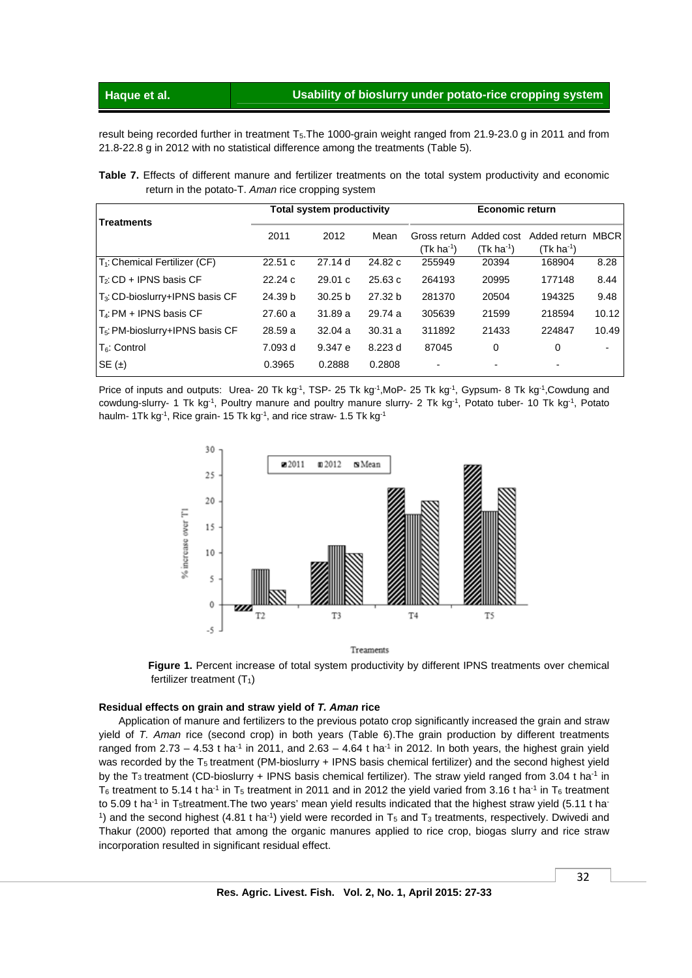result being recorded further in treatment T<sub>5</sub>. The 1000-grain weight ranged from 21.9-23.0 g in 2011 and from 21.8-22.8 g in 2012 with no statistical difference among the treatments (Table 5).

**Table 7.** Effects of different manure and fertilizer treatments on the total system productivity and economic return in the potato-T. *Aman* rice cropping system

|                                             |         | <b>Total system productivity</b> |                    | <b>Economic return</b>                 |                        |                                           |             |  |
|---------------------------------------------|---------|----------------------------------|--------------------|----------------------------------------|------------------------|-------------------------------------------|-------------|--|
| <b>Treatments</b>                           | 2011    | 2012                             | Mean               | Gross return Added cost<br>$(Tk ha-1)$ | (Tk ha <sup>-1</sup> ) | Added return<br>$(Tk)$ ha <sup>-1</sup> ) | <b>MBCR</b> |  |
| T <sub>1</sub> : Chemical Fertilizer (CF)   | 22.51c  | 27.14d                           | 24.82 c            | 255949                                 | 20394                  | 168904                                    | 8.28        |  |
| $T_2$ : CD + IPNS basis CF                  | 22.24c  | 29.01c                           | 25.63c             | 264193                                 | 20995                  | 177148                                    | 8.44        |  |
| T <sub>3</sub> : CD-bioslurry+IPNS basis CF | 24.39 b | 30.25 <sub>b</sub>               | 27.32 <sub>b</sub> | 281370                                 | 20504                  | 194325                                    | 9.48        |  |
| I T4: PM + IPNS basis CF                    | 27.60 a | 31.89 a                          | 29.74 a            | 305639                                 | 21599                  | 218594                                    | 10.12       |  |
| T <sub>5</sub> : PM-bioslurry+IPNS basis CF | 28.59 a | 32.04a                           | 30.31a             | 311892                                 | 21433                  | 224847                                    | 10.49       |  |
| $T6$ : Control                              | 7.093 d | 9.347 e                          | 8.223d             | 87045                                  | 0                      | 0                                         |             |  |
| SE $(\pm)$                                  | 0.3965  | 0.2888                           | 0.2808             | $\blacksquare$                         |                        | $\overline{\phantom{a}}$                  |             |  |

Price of inputs and outputs: Urea- 20 Tk kg<sup>-1</sup>, TSP- 25 Tk kg<sup>-1</sup>,MoP- 25 Tk kg<sup>-1</sup>, Gypsum- 8 Tk kg<sup>-1</sup>,Cowdung and cowdung-slurry- 1 Tk kg<sup>-1</sup>, Poultry manure and poultry manure slurry- 2 Tk kg<sup>-1</sup>, Potato tuber- 10 Tk kg<sup>-1</sup>, Potato haulm- 1Tk kg<sup>-1</sup>, Rice grain- 15 Tk kg<sup>-1</sup>, and rice straw- 1.5 Tk kg<sup>-1</sup>



**Figure 1.** Percent increase of total system productivity by different IPNS treatments over chemical fertilizer treatment  $(T_1)$ 

#### **Residual effects on grain and straw yield of** *T. Aman* **rice**

 Application of manure and fertilizers to the previous potato crop significantly increased the grain and straw yield of *T. Aman* rice (second crop) in both years (Table 6).The grain production by different treatments ranged from  $2.73 - 4.53$  t ha<sup>-1</sup> in 2011, and  $2.63 - 4.64$  t ha<sup>-1</sup> in 2012. In both years, the highest grain yield was recorded by the T<sub>5</sub> treatment (PM-bioslurry + IPNS basis chemical fertilizer) and the second highest yield by the T<sub>3</sub> treatment (CD-bioslurry + IPNS basis chemical fertilizer). The straw yield ranged from 3.04 t ha<sup>-1</sup> in T<sub>6</sub> treatment to 5.14 t ha<sup>-1</sup> in T<sub>5</sub> treatment in 2011 and in 2012 the yield varied from 3.16 t ha<sup>-1</sup> in T<sub>6</sub> treatment to 5.09 t ha<sup>-1</sup> in T<sub>5</sub>treatment. The two years' mean yield results indicated that the highest straw yield (5.11 t ha<sup>-</sup> <sup>1</sup>) and the second highest (4.81 t ha<sup>-1</sup>) yield were recorded in  $T_5$  and  $T_3$  treatments, respectively. Dwivedi and Thakur (2000) reported that among the organic manures applied to rice crop, biogas slurry and rice straw incorporation resulted in significant residual effect.